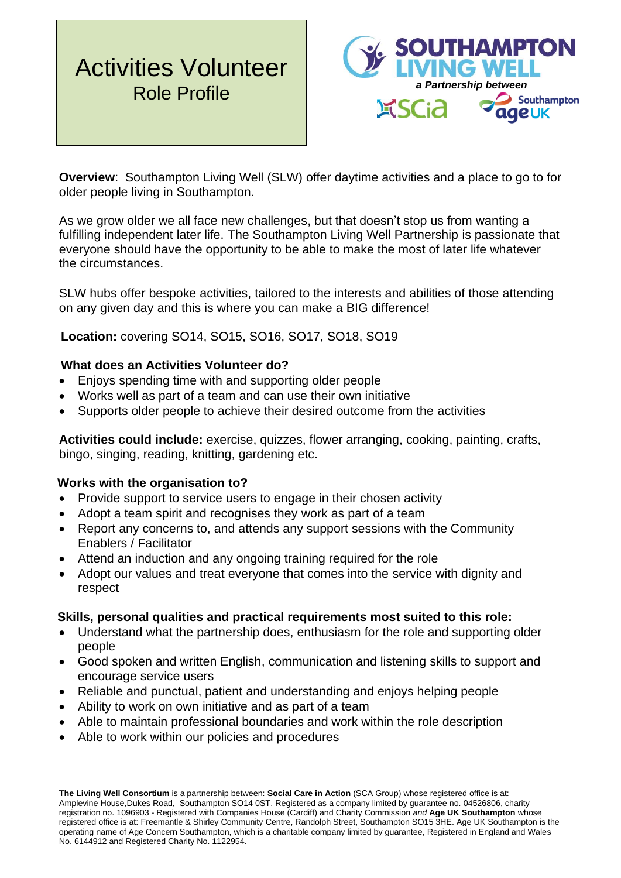## Activities Volunteer Role Profile



**Overview:** Southampton Living Well (SLW) offer daytime activities and a place to go to for older people living in Southampton.

As we grow older we all face new challenges, but that doesn't stop us from wanting a fulfilling independent later life. The Southampton Living Well Partnership is passionate that everyone should have the opportunity to be able to make the most of later life whatever the circumstances.

SLW hubs offer bespoke activities, tailored to the interests and abilities of those attending on any given day and this is where you can make a BIG difference!

 **Location:** covering SO14, SO15, SO16, SO17, SO18, SO19

## **What does an Activities Volunteer do?**

- Enjoys spending time with and supporting older people
- Works well as part of a team and can use their own initiative
- Supports older people to achieve their desired outcome from the activities

**Activities could include:** exercise, quizzes, flower arranging, cooking, painting, crafts, bingo, singing, reading, knitting, gardening etc.

## **Works with the organisation to?**

- Provide support to service users to engage in their chosen activity
- Adopt a team spirit and recognises they work as part of a team
- Report any concerns to, and attends any support sessions with the Community Enablers / Facilitator
- Attend an induction and any ongoing training required for the role
- Adopt our values and treat everyone that comes into the service with dignity and respect

## **Skills, personal qualities and practical requirements most suited to this role:**

- Understand what the partnership does, enthusiasm for the role and supporting older people
- Good spoken and written English, communication and listening skills to support and encourage service users
- Reliable and punctual, patient and understanding and enjoys helping people
- Ability to work on own initiative and as part of a team
- Able to maintain professional boundaries and work within the role description
- Able to work within our policies and procedures